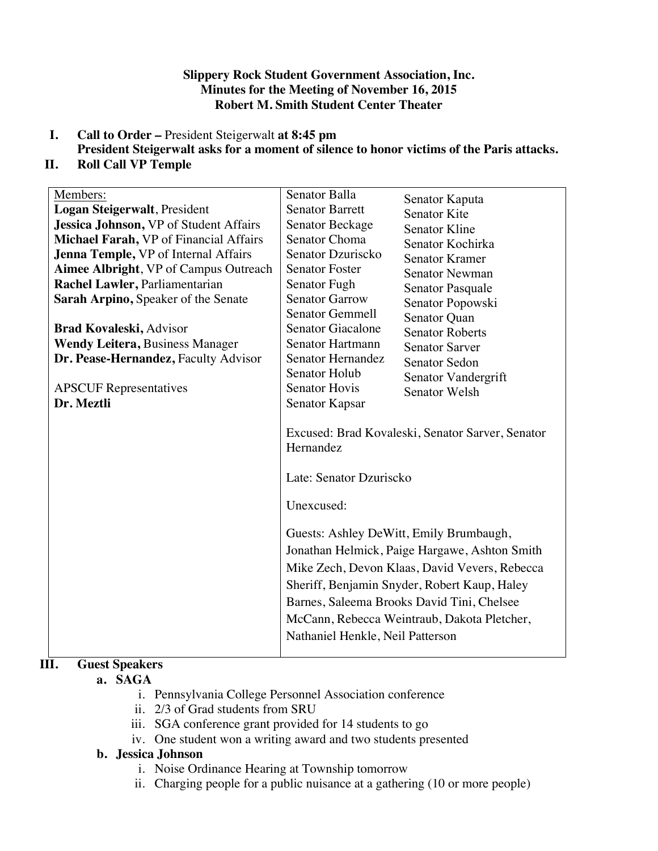## **Slippery Rock Student Government Association, Inc. Minutes for the Meeting of November 16, 2015 Robert M. Smith Student Center Theater**

- **I. Call to Order –** President Steigerwalt **at 8:45 pm**
- **President Steigerwalt asks for a moment of silence to honor victims of the Paris attacks. II. Roll Call VP Temple**

 $\overline{\mathbf{S}}$ 

| Members:                               | Senator Balla                                                                                                                                                                                                                                                                                                                                                                                                                        | Senator Kaputa         |
|----------------------------------------|--------------------------------------------------------------------------------------------------------------------------------------------------------------------------------------------------------------------------------------------------------------------------------------------------------------------------------------------------------------------------------------------------------------------------------------|------------------------|
| Logan Steigerwalt, President           | <b>Senator Barrett</b>                                                                                                                                                                                                                                                                                                                                                                                                               | <b>Senator Kite</b>    |
| Jessica Johnson, VP of Student Affairs | Senator Beckage                                                                                                                                                                                                                                                                                                                                                                                                                      | <b>Senator Kline</b>   |
| Michael Farah, VP of Financial Affairs | Senator Choma                                                                                                                                                                                                                                                                                                                                                                                                                        | Senator Kochirka       |
| Jenna Temple, VP of Internal Affairs   | Senator Dzuriscko                                                                                                                                                                                                                                                                                                                                                                                                                    | <b>Senator Kramer</b>  |
| Aimee Albright, VP of Campus Outreach  | <b>Senator Foster</b>                                                                                                                                                                                                                                                                                                                                                                                                                | <b>Senator Newman</b>  |
| Rachel Lawler, Parliamentarian         | Senator Fugh                                                                                                                                                                                                                                                                                                                                                                                                                         | Senator Pasquale       |
| Sarah Arpino, Speaker of the Senate    | <b>Senator Garrow</b>                                                                                                                                                                                                                                                                                                                                                                                                                | Senator Popowski       |
|                                        | <b>Senator Gemmell</b>                                                                                                                                                                                                                                                                                                                                                                                                               | Senator Quan           |
| <b>Brad Kovaleski, Advisor</b>         | <b>Senator Giacalone</b>                                                                                                                                                                                                                                                                                                                                                                                                             | <b>Senator Roberts</b> |
| Wendy Leitera, Business Manager        | Senator Hartmann                                                                                                                                                                                                                                                                                                                                                                                                                     | <b>Senator Sarver</b>  |
| Dr. Pease-Hernandez, Faculty Advisor   | Senator Hernandez                                                                                                                                                                                                                                                                                                                                                                                                                    | Senator Sedon          |
|                                        | Senator Holub                                                                                                                                                                                                                                                                                                                                                                                                                        | Senator Vandergrift    |
| <b>APSCUF</b> Representatives          | <b>Senator Hovis</b>                                                                                                                                                                                                                                                                                                                                                                                                                 | Senator Welsh          |
| Dr. Meztli                             | Senator Kapsar                                                                                                                                                                                                                                                                                                                                                                                                                       |                        |
|                                        | Excused: Brad Kovaleski, Senator Sarver, Senator<br>Hernandez<br>Late: Senator Dzuriscko<br>Unexcused:<br>Guests: Ashley DeWitt, Emily Brumbaugh,<br>Jonathan Helmick, Paige Hargawe, Ashton Smith<br>Mike Zech, Devon Klaas, David Vevers, Rebecca<br>Sheriff, Benjamin Snyder, Robert Kaup, Haley<br>Barnes, Saleema Brooks David Tini, Chelsee<br>McCann, Rebecca Weintraub, Dakota Pletcher,<br>Nathaniel Henkle, Neil Patterson |                        |

# **III. Guest Speakers**

## **a. SAGA**

- i. Pennsylvania College Personnel Association conference
- ii. 2/3 of Grad students from SRU
- iii. SGA conference grant provided for 14 students to go
- iv. One student won a writing award and two students presented

# **b. Jessica Johnson**

- i. Noise Ordinance Hearing at Township tomorrow
- ii. Charging people for a public nuisance at a gathering (10 or more people)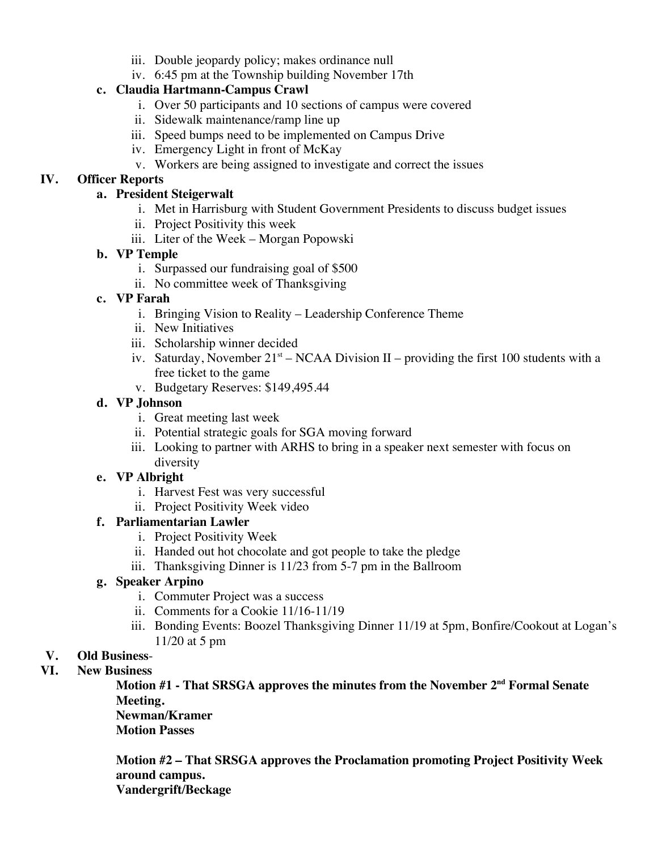- iii. Double jeopardy policy; makes ordinance null
- iv. 6:45 pm at the Township building November 17th

## **c. Claudia Hartmann-Campus Crawl**

- i. Over 50 participants and 10 sections of campus were covered
- ii. Sidewalk maintenance/ramp line up
- iii. Speed bumps need to be implemented on Campus Drive
- iv. Emergency Light in front of McKay
- v. Workers are being assigned to investigate and correct the issues

## **IV. Officer Reports**

#### **a. President Steigerwalt**

- i. Met in Harrisburg with Student Government Presidents to discuss budget issues
- ii. Project Positivity this week
- iii. Liter of the Week Morgan Popowski

## **b. VP Temple**

- i. Surpassed our fundraising goal of \$500
- ii. No committee week of Thanksgiving

## **c. VP Farah**

- i. Bringing Vision to Reality Leadership Conference Theme
- ii. New Initiatives
- iii. Scholarship winner decided
- iv. Saturday, November  $21^{st}$  NCAA Division II providing the first 100 students with a free ticket to the game
- v. Budgetary Reserves: \$149,495.44

## **d. VP Johnson**

- i. Great meeting last week
- ii. Potential strategic goals for SGA moving forward
- iii. Looking to partner with ARHS to bring in a speaker next semester with focus on diversity

#### **e. VP Albright**

- i. Harvest Fest was very successful
- ii. Project Positivity Week video

#### **f. Parliamentarian Lawler**

- i. Project Positivity Week
- ii. Handed out hot chocolate and got people to take the pledge
- iii. Thanksgiving Dinner is 11/23 from 5-7 pm in the Ballroom

## **g. Speaker Arpino**

- i. Commuter Project was a success
- ii. Comments for a Cookie 11/16-11/19
- iii. Bonding Events: Boozel Thanksgiving Dinner 11/19 at 5pm, Bonfire/Cookout at Logan's 11/20 at 5 pm

# **V. Old Business**-

## **VI. New Business**

**Motion #1 - That SRSGA approves the minutes from the November 2nd Formal Senate Meeting.**

**Newman/Kramer Motion Passes**

**Motion #2 – That SRSGA approves the Proclamation promoting Project Positivity Week around campus.**

**Vandergrift/Beckage**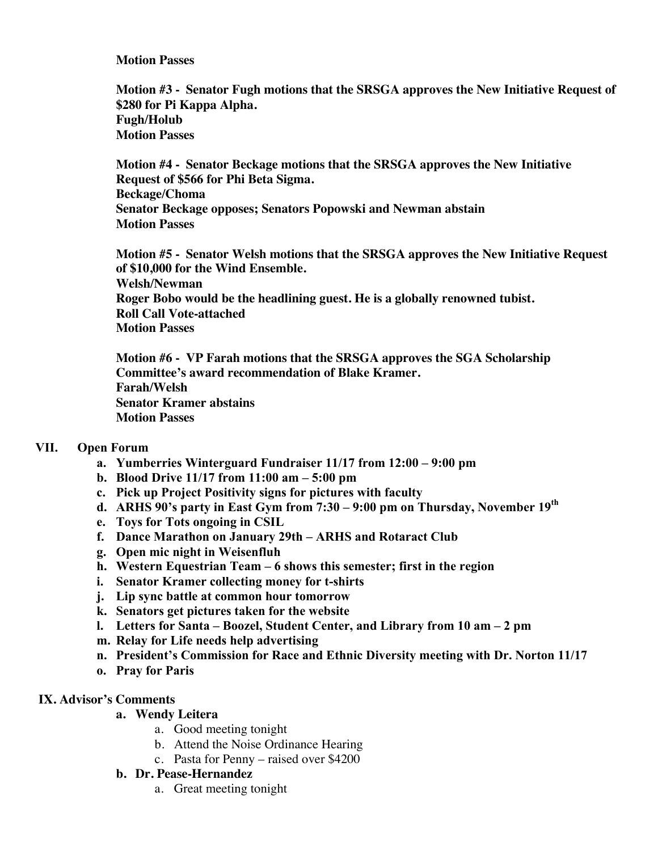#### **Motion Passes**

**Motion #3 - Senator Fugh motions that the SRSGA approves the New Initiative Request of \$280 for Pi Kappa Alpha. Fugh/Holub Motion Passes**

**Motion #4 - Senator Beckage motions that the SRSGA approves the New Initiative Request of \$566 for Phi Beta Sigma. Beckage/Choma Senator Beckage opposes; Senators Popowski and Newman abstain Motion Passes**

**Motion #5 - Senator Welsh motions that the SRSGA approves the New Initiative Request of \$10,000 for the Wind Ensemble. Welsh/Newman Roger Bobo would be the headlining guest. He is a globally renowned tubist. Roll Call Vote-attached Motion Passes**

**Motion #6 - VP Farah motions that the SRSGA approves the SGA Scholarship Committee's award recommendation of Blake Kramer. Farah/Welsh Senator Kramer abstains Motion Passes**

#### **VII. Open Forum**

- **a. Yumberries Winterguard Fundraiser 11/17 from 12:00 – 9:00 pm**
- **b. Blood Drive 11/17 from 11:00 am – 5:00 pm**
- **c. Pick up Project Positivity signs for pictures with faculty**
- **d. ARHS 90's party in East Gym from 7:30 – 9:00 pm on Thursday, November 19th**
- **e. Toys for Tots ongoing in CSIL**
- **f. Dance Marathon on January 29th – ARHS and Rotaract Club**
- **g. Open mic night in Weisenfluh**
- **h. Western Equestrian Team – 6 shows this semester; first in the region**
- **i. Senator Kramer collecting money for t-shirts**
- **j. Lip sync battle at common hour tomorrow**
- **k. Senators get pictures taken for the website**
- **l. Letters for Santa – Boozel, Student Center, and Library from 10 am – 2 pm**
- **m. Relay for Life needs help advertising**
- **n. President's Commission for Race and Ethnic Diversity meeting with Dr. Norton 11/17**
- **o. Pray for Paris**

#### **IX. Advisor's Comments**

- **a. Wendy Leitera**
	- a. Good meeting tonight
	- b. Attend the Noise Ordinance Hearing
	- c. Pasta for Penny raised over \$4200

#### **b. Dr. Pease-Hernandez**

a. Great meeting tonight